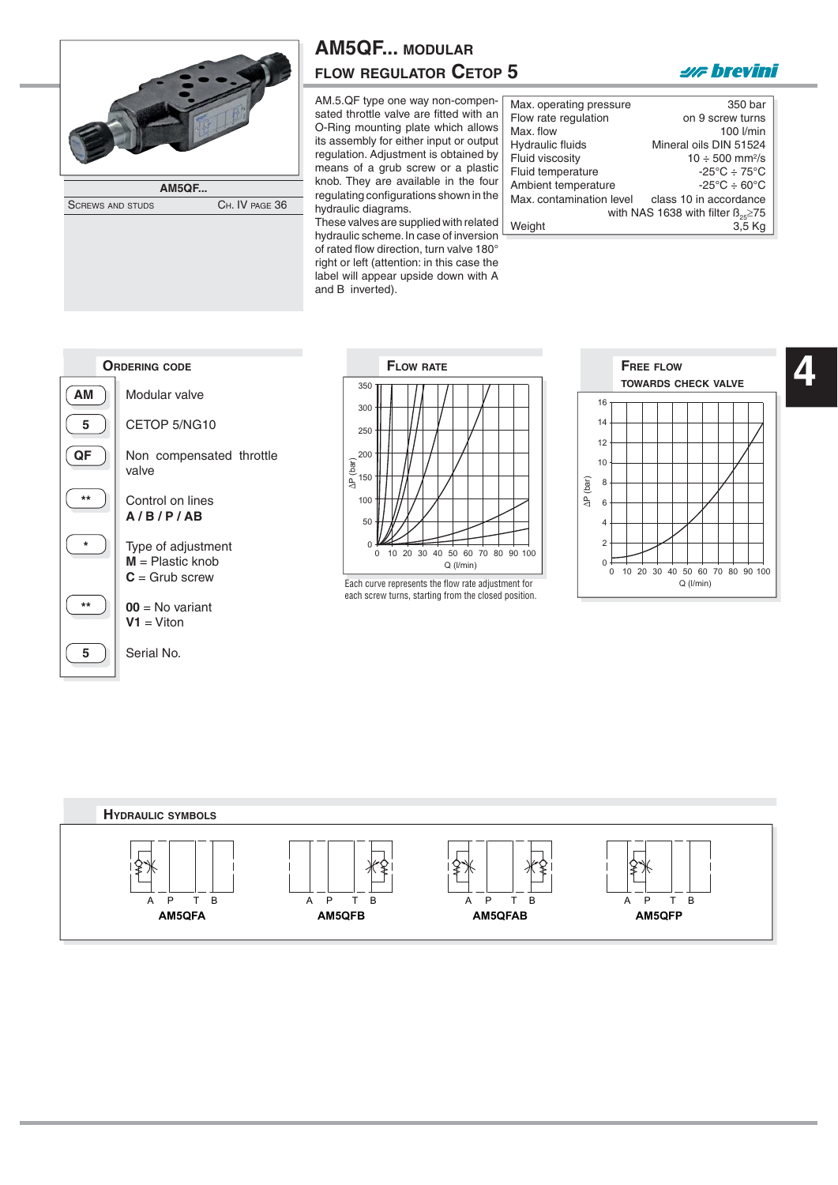

SCREWS AND STUDS CH. IV PAGE 36

| <b>AM5QF MODULAR</b>          |  |
|-------------------------------|--|
| <b>FLOW REGULATOR CETOP 5</b> |  |

AM.5.QF type one way non-compensated throttle valve are fitted with an O-Ring mounting plate which allows its assembly for either input or output regulation. Adjustment is obtained by means of a grub screw or a plastic knob. They are available in the four regulating configurations shown in the hydraulic diagrams. These valves are supplied with related

hydraulic scheme. In case of inversion of rated flow direction, turn valve 180° right or left (attention: in this case the label will appear upside down with A and B inverted).

| Max. operating pressure                   | 350 bar                                |  |
|-------------------------------------------|----------------------------------------|--|
| Flow rate regulation                      | on 9 screw turns                       |  |
| Max. flow                                 | 100 l/min                              |  |
| Hydraulic fluids                          | Mineral oils DIN 51524                 |  |
| Fluid viscosity                           | $10 \div 500$ mm <sup>2</sup> /s       |  |
| Fluid temperature                         | $-25^{\circ}$ C $\div$ 75 $^{\circ}$ C |  |
| Ambient temperature                       | $-25^{\circ}$ C $\div$ 60 $^{\circ}$ C |  |
| Max. contamination level                  | class 10 in accordance                 |  |
| with NAS 1638 with filter $B_{25} \ge 75$ |                                        |  |
| Weight                                    | 3.5 Kg                                 |  |

**2/F** brevini





Each curve represents the flow rate adjustment for  $Q(Nmin)$ each screw turns, starting from the closed position.